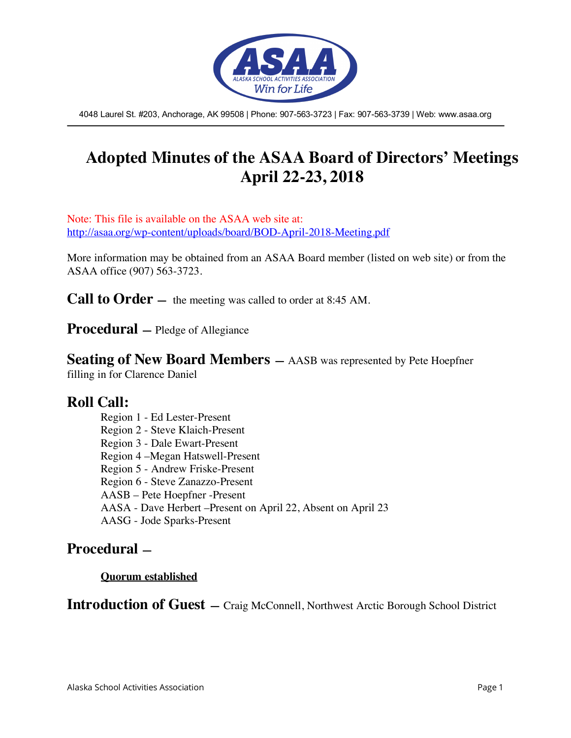

4048 Laurel St. #203, Anchorage, AK 99508 | Phone: 907-563-3723 | Fax: 907-563-3739 | Web: www.asaa.org

# **Adopted Minutes of the ASAA Board of Directors' Meetings April 22-23, 2018**

Note: This file is available on the ASAA web site at: http://asaa.org/wp-content/uploads/board/BOD-April-2018-Meeting.pdf

More information may be obtained from an ASAA Board member (listed on web site) or from the ASAA office (907) 563-3723.

**Call to Order** — the meeting was called to order at 8:45 AM.

**Procedural —** Pledge of Allegiance

**Seating of New Board Members —** AASB was represented by Pete Hoepfner filling in for Clarence Daniel

### **Roll Call:**

Region 1 - Ed Lester-Present Region 2 - Steve Klaich-Present Region 3 - Dale Ewart-Present Region 4 –Megan Hatswell-Present Region 5 - Andrew Friske-Present Region 6 - Steve Zanazzo-Present AASB – Pete Hoepfner -Present AASA - Dave Herbert –Present on April 22, Absent on April 23 AASG - Jode Sparks-Present

## **Procedural —**

#### **Quorum established**

**Introduction of Guest —** Craig McConnell, Northwest Arctic Borough School District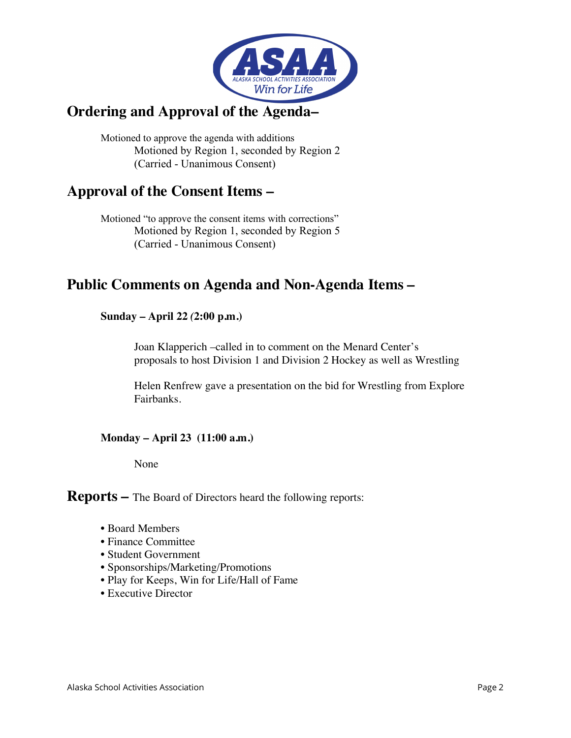

## **Ordering and Approval of the Agenda–**

Motioned to approve the agenda with additions Motioned by Region 1, seconded by Region 2 (Carried - Unanimous Consent)

## **Approval of the Consent Items –**

Motioned "to approve the consent items with corrections" Motioned by Region 1, seconded by Region 5 (Carried - Unanimous Consent)

## **Public Comments on Agenda and Non-Agenda Items –**

#### **Sunday – April 22** *(***2:00 p.m.)**

Joan Klapperich –called in to comment on the Menard Center's proposals to host Division 1 and Division 2 Hockey as well as Wrestling

Helen Renfrew gave a presentation on the bid for Wrestling from Explore Fairbanks.

#### **Monday – April 23 (11:00 a.m.)**

None

**Reports –** The Board of Directors heard the following reports:

- Board Members
- Finance Committee
- Student Government
- Sponsorships/Marketing/Promotions
- Play for Keeps, Win for Life/Hall of Fame
- Executive Director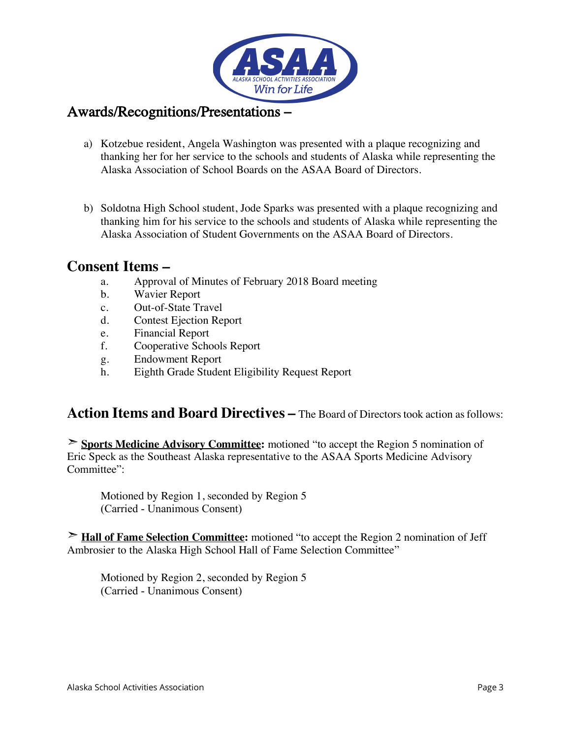

### Awards/Recognitions/Presentations **–**

- a) Kotzebue resident, Angela Washington was presented with a plaque recognizing and thanking her for her service to the schools and students of Alaska while representing the Alaska Association of School Boards on the ASAA Board of Directors.
- b) Soldotna High School student, Jode Sparks was presented with a plaque recognizing and thanking him for his service to the schools and students of Alaska while representing the Alaska Association of Student Governments on the ASAA Board of Directors.

### **Consent Items –**

- a. Approval of Minutes of February 2018 Board meeting
- b. Wavier Report
- c. Out-of-State Travel
- d. Contest Ejection Report
- e. Financial Report
- f. Cooperative Schools Report
- g. Endowment Report
- h. Eighth Grade Student Eligibility Request Report

## **Action Items and Board Directives –** The Board of Directors took action as follows:

➣ **Sports Medicine Advisory Committee:** motioned "to accept the Region 5 nomination of Eric Speck as the Southeast Alaska representative to the ASAA Sports Medicine Advisory Committee":

Motioned by Region 1, seconded by Region 5 (Carried - Unanimous Consent)

➣ **Hall of Fame Selection Committee:** motioned "to accept the Region 2 nomination of Jeff Ambrosier to the Alaska High School Hall of Fame Selection Committee"

Motioned by Region 2, seconded by Region 5 (Carried - Unanimous Consent)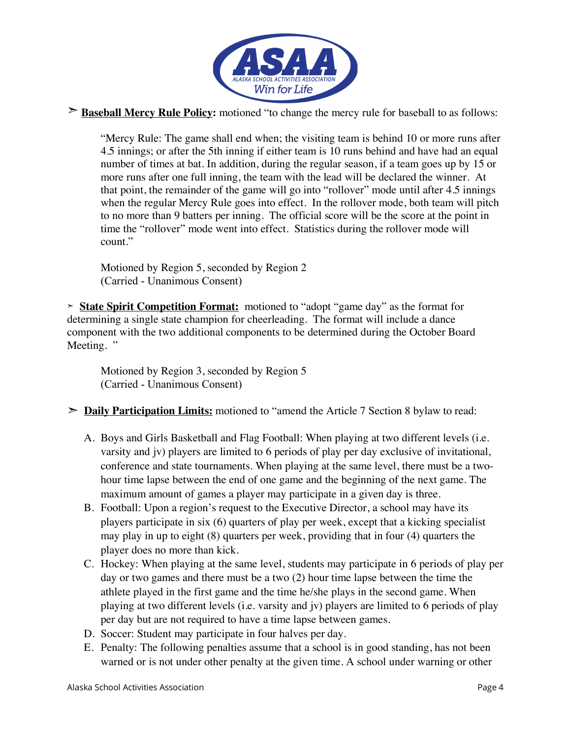

#### ➣ **Baseball Mercy Rule Policy:** motioned "to change the mercy rule for baseball to as follows:

"Mercy Rule: The game shall end when; the visiting team is behind 10 or more runs after 4.5 innings; or after the 5th inning if either team is 10 runs behind and have had an equal number of times at bat. In addition, during the regular season, if a team goes up by 15 or more runs after one full inning, the team with the lead will be declared the winner. At that point, the remainder of the game will go into "rollover" mode until after 4.5 innings when the regular Mercy Rule goes into effect. In the rollover mode, both team will pitch to no more than 9 batters per inning. The official score will be the score at the point in time the "rollover" mode went into effect. Statistics during the rollover mode will count."

Motioned by Region 5, seconded by Region 2 (Carried - Unanimous Consent)

**➣ State Spirit Competition Format:** motioned to "adopt "game day" as the format for determining a single state champion for cheerleading. The format will include a dance component with the two additional components to be determined during the October Board Meeting. "

Motioned by Region 3, seconded by Region 5 (Carried - Unanimous Consent)

- ➣ **Daily Participation Limits:** motioned to "amend the Article 7 Section 8 bylaw to read:
	- A. Boys and Girls Basketball and Flag Football: When playing at two different levels (i.e. varsity and jv) players are limited to 6 periods of play per day exclusive of invitational, conference and state tournaments. When playing at the same level, there must be a twohour time lapse between the end of one game and the beginning of the next game. The maximum amount of games a player may participate in a given day is three.
	- B. Football: Upon a region's request to the Executive Director, a school may have its players participate in six (6) quarters of play per week, except that a kicking specialist may play in up to eight (8) quarters per week, providing that in four (4) quarters the player does no more than kick.
	- C. Hockey: When playing at the same level, students may participate in 6 periods of play per day or two games and there must be a two (2) hour time lapse between the time the athlete played in the first game and the time he/she plays in the second game. When playing at two different levels (i.e. varsity and jv) players are limited to 6 periods of play per day but are not required to have a time lapse between games.
	- D. Soccer: Student may participate in four halves per day.
	- E. Penalty: The following penalties assume that a school is in good standing, has not been warned or is not under other penalty at the given time. A school under warning or other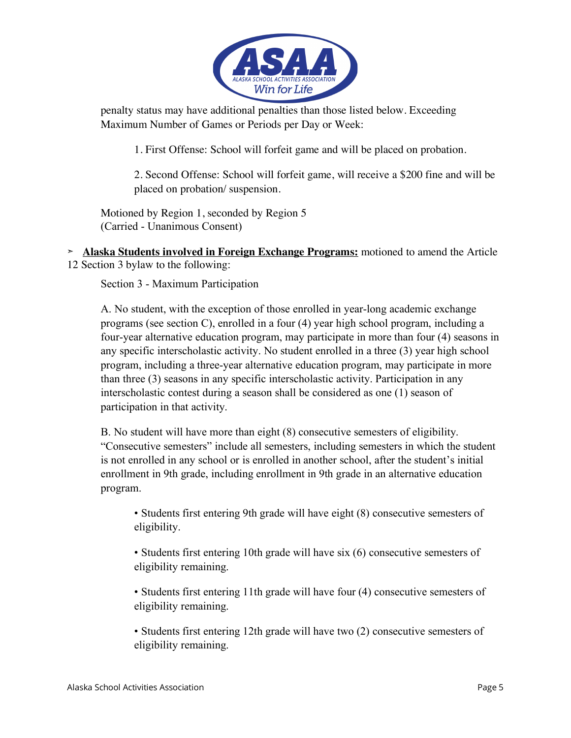

penalty status may have additional penalties than those listed below. Exceeding Maximum Number of Games or Periods per Day or Week:

1. First Offense: School will forfeit game and will be placed on probation.

2. Second Offense: School will forfeit game, will receive a \$200 fine and will be placed on probation/ suspension.

Motioned by Region 1, seconded by Region 5 (Carried - Unanimous Consent)

**➣ Alaska Students involved in Foreign Exchange Programs:** motioned to amend the Article 12 Section 3 bylaw to the following:

Section 3 - Maximum Participation

A. No student, with the exception of those enrolled in year-long academic exchange programs (see section C), enrolled in a four (4) year high school program, including a four-year alternative education program, may participate in more than four (4) seasons in any specific interscholastic activity. No student enrolled in a three (3) year high school program, including a three-year alternative education program, may participate in more than three (3) seasons in any specific interscholastic activity. Participation in any interscholastic contest during a season shall be considered as one (1) season of participation in that activity.

B. No student will have more than eight (8) consecutive semesters of eligibility. "Consecutive semesters" include all semesters, including semesters in which the student is not enrolled in any school or is enrolled in another school, after the student's initial enrollment in 9th grade, including enrollment in 9th grade in an alternative education program.

• Students first entering 9th grade will have eight (8) consecutive semesters of eligibility.

• Students first entering 10th grade will have six (6) consecutive semesters of eligibility remaining.

• Students first entering 11th grade will have four (4) consecutive semesters of eligibility remaining.

• Students first entering 12th grade will have two (2) consecutive semesters of eligibility remaining.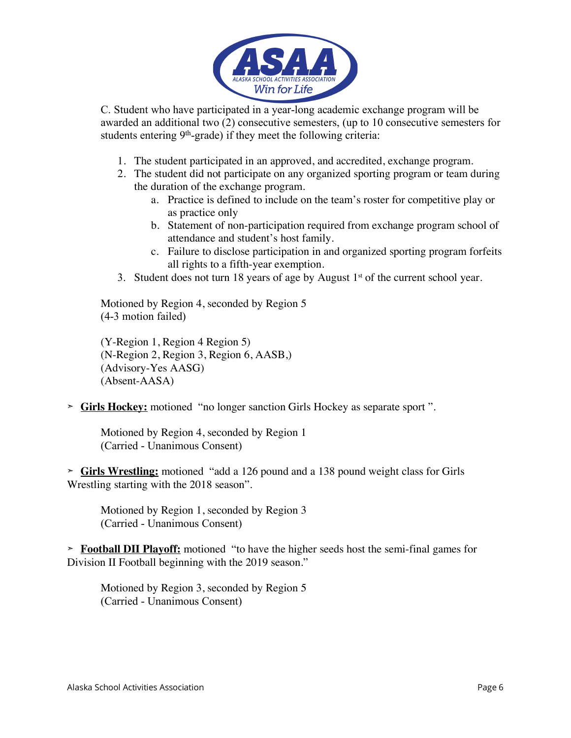

C. Student who have participated in a year-long academic exchange program will be awarded an additional two (2) consecutive semesters, (up to 10 consecutive semesters for students entering  $9<sup>th</sup>$ -grade) if they meet the following criteria:

- 1. The student participated in an approved, and accredited, exchange program.
- 2. The student did not participate on any organized sporting program or team during the duration of the exchange program.
	- a. Practice is defined to include on the team's roster for competitive play or as practice only
	- b. Statement of non-participation required from exchange program school of attendance and student's host family.
	- c. Failure to disclose participation in and organized sporting program forfeits all rights to a fifth-year exemption.
- 3. Student does not turn 18 years of age by August  $1<sup>st</sup>$  of the current school year.

Motioned by Region 4, seconded by Region 5 (4-3 motion failed)

(Y-Region 1, Region 4 Region 5) (N-Region 2, Region 3, Region 6, AASB,) (Advisory-Yes AASG) (Absent-AASA)

**➣ Girls Hockey:** motioned "no longer sanction Girls Hockey as separate sport ".

Motioned by Region 4, seconded by Region 1 (Carried - Unanimous Consent)

**➣ Girls Wrestling:** motioned "add a 126 pound and a 138 pound weight class for Girls Wrestling starting with the 2018 season".

Motioned by Region 1, seconded by Region 3 (Carried - Unanimous Consent)

**➣ Football DII Playoff:** motioned "to have the higher seeds host the semi-final games for Division II Football beginning with the 2019 season."

Motioned by Region 3, seconded by Region 5 (Carried - Unanimous Consent)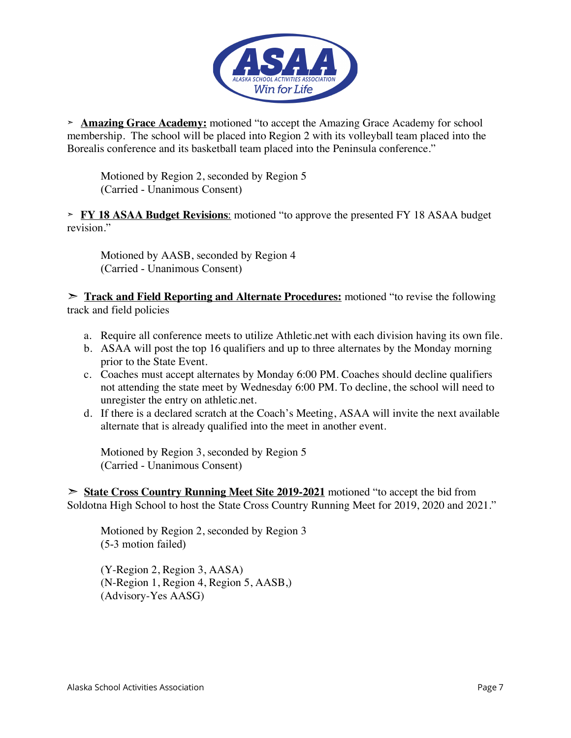

**➣ Amazing Grace Academy:** motioned "to accept the Amazing Grace Academy for school membership. The school will be placed into Region 2 with its volleyball team placed into the Borealis conference and its basketball team placed into the Peninsula conference."

Motioned by Region 2, seconded by Region 5 (Carried - Unanimous Consent)

**➣ FY 18 ASAA Budget Revisions**: motioned "to approve the presented FY 18 ASAA budget revision."

Motioned by AASB, seconded by Region 4 (Carried - Unanimous Consent)

➣ **Track and Field Reporting and Alternate Procedures:** motioned "to revise the following track and field policies

- a. Require all conference meets to utilize Athletic.net with each division having its own file.
- b. ASAA will post the top 16 qualifiers and up to three alternates by the Monday morning prior to the State Event.
- c. Coaches must accept alternates by Monday 6:00 PM. Coaches should decline qualifiers not attending the state meet by Wednesday 6:00 PM. To decline, the school will need to unregister the entry on athletic.net.
- d. If there is a declared scratch at the Coach's Meeting, ASAA will invite the next available alternate that is already qualified into the meet in another event.

Motioned by Region 3, seconded by Region 5 (Carried - Unanimous Consent)

➣ **State Cross Country Running Meet Site 2019-2021** motioned "to accept the bid from Soldotna High School to host the State Cross Country Running Meet for 2019, 2020 and 2021."

Motioned by Region 2, seconded by Region 3 (5-3 motion failed)

(Y-Region 2, Region 3, AASA) (N-Region 1, Region 4, Region 5, AASB,) (Advisory-Yes AASG)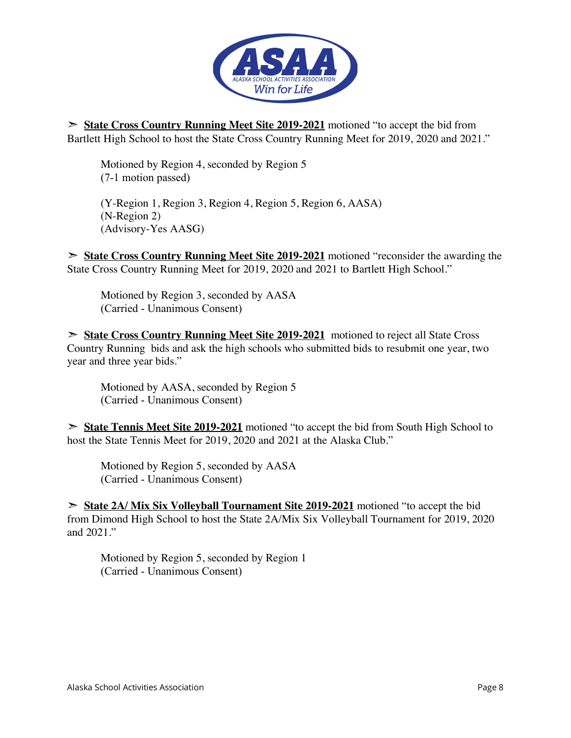

➣ **State Cross Country Running Meet Site 2019-2021** motioned "to accept the bid from Bartlett High School to host the State Cross Country Running Meet for 2019, 2020 and 2021."

Motioned by Region 4, seconded by Region 5 (7-1 motion passed)

(Y-Region 1, Region 3, Region 4, Region 5, Region 6, AASA) (N-Region 2) (Advisory-Yes AASG)

➣ **State Cross Country Running Meet Site 2019-2021** motioned "reconsider the awarding the State Cross Country Running Meet for 2019, 2020 and 2021 to Bartlett High School."

Motioned by Region 3, seconded by AASA (Carried - Unanimous Consent)

➣ **State Cross Country Running Meet Site 2019-2021** motioned to reject all State Cross Country Running bids and ask the high schools who submitted bids to resubmit one year, two year and three year bids."

Motioned by AASA, seconded by Region 5 (Carried - Unanimous Consent)

➣ **State Tennis Meet Site 2019-2021** motioned "to accept the bid from South High School to host the State Tennis Meet for 2019, 2020 and 2021 at the Alaska Club."

Motioned by Region 5, seconded by AASA (Carried - Unanimous Consent)

➣ **State 2A/ Mix Six Volleyball Tournament Site 2019-2021** motioned "to accept the bid from Dimond High School to host the State 2A/Mix Six Volleyball Tournament for 2019, 2020 and 2021."

Motioned by Region 5, seconded by Region 1 (Carried - Unanimous Consent)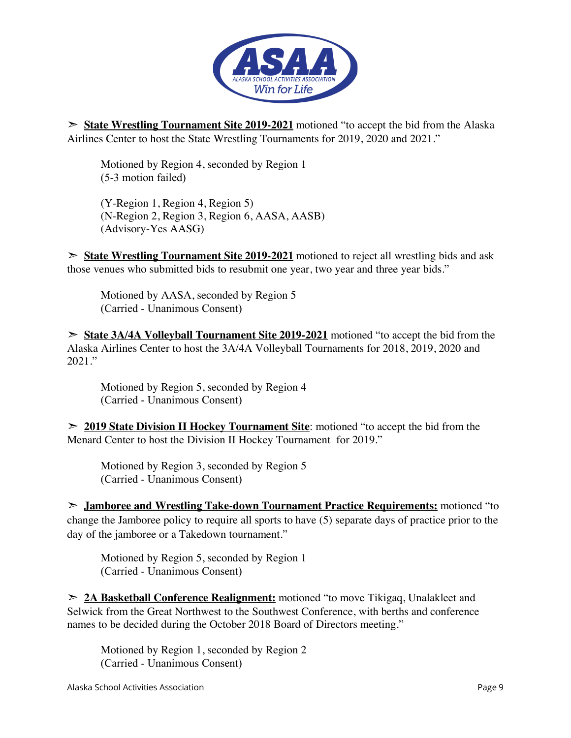

➣ **State Wrestling Tournament Site 2019-2021** motioned "to accept the bid from the Alaska Airlines Center to host the State Wrestling Tournaments for 2019, 2020 and 2021."

Motioned by Region 4, seconded by Region 1 (5-3 motion failed)

(Y-Region 1, Region 4, Region 5) (N-Region 2, Region 3, Region 6, AASA, AASB) (Advisory-Yes AASG)

➣ **State Wrestling Tournament Site 2019-2021** motioned to reject all wrestling bids and ask those venues who submitted bids to resubmit one year, two year and three year bids."

Motioned by AASA, seconded by Region 5 (Carried - Unanimous Consent)

➣ **State 3A/4A Volleyball Tournament Site 2019-2021** motioned "to accept the bid from the Alaska Airlines Center to host the 3A/4A Volleyball Tournaments for 2018, 2019, 2020 and 2021."

Motioned by Region 5, seconded by Region 4 (Carried - Unanimous Consent)

➣ **2019 State Division II Hockey Tournament Site**: motioned "to accept the bid from the Menard Center to host the Division II Hockey Tournament for 2019."

Motioned by Region 3, seconded by Region 5 (Carried - Unanimous Consent)

➣ **Jamboree and Wrestling Take-down Tournament Practice Requirements:** motioned "to change the Jamboree policy to require all sports to have (5) separate days of practice prior to the day of the jamboree or a Takedown tournament."

Motioned by Region 5, seconded by Region 1 (Carried - Unanimous Consent)

➣ **2A Basketball Conference Realignment:** motioned "to move Tikigaq, Unalakleet and Selwick from the Great Northwest to the Southwest Conference, with berths and conference names to be decided during the October 2018 Board of Directors meeting."

Motioned by Region 1, seconded by Region 2 (Carried - Unanimous Consent)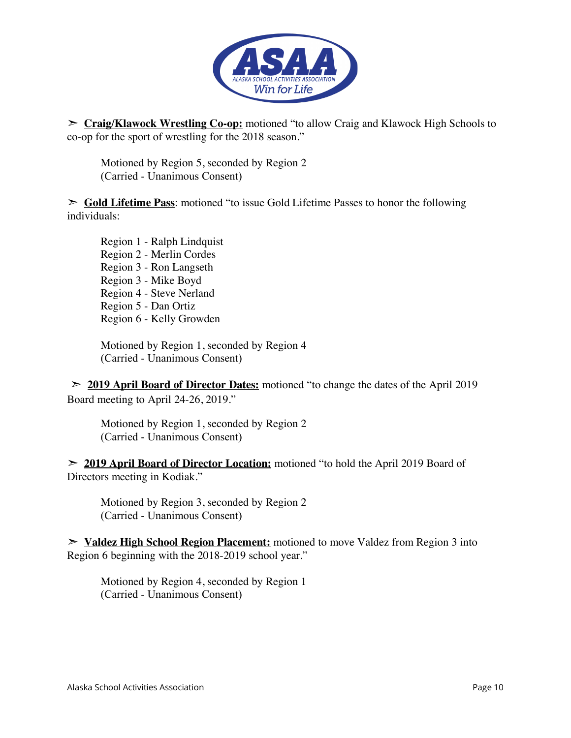

➣ **Craig/Klawock Wrestling Co-op:** motioned "to allow Craig and Klawock High Schools to co-op for the sport of wrestling for the 2018 season."

Motioned by Region 5, seconded by Region 2 (Carried - Unanimous Consent)

➣ **Gold Lifetime Pass**: motioned "to issue Gold Lifetime Passes to honor the following individuals:

Region 1 - Ralph Lindquist Region 2 - Merlin Cordes Region 3 - Ron Langseth Region 3 - Mike Boyd Region 4 - Steve Nerland Region 5 - Dan Ortiz Region 6 - Kelly Growden

Motioned by Region 1, seconded by Region 4 (Carried - Unanimous Consent)

➣ **2019 April Board of Director Dates:** motioned "to change the dates of the April 2019 Board meeting to April 24-26, 2019."

Motioned by Region 1, seconded by Region 2 (Carried - Unanimous Consent)

➣ **2019 April Board of Director Location:** motioned "to hold the April 2019 Board of Directors meeting in Kodiak."

Motioned by Region 3, seconded by Region 2 (Carried - Unanimous Consent)

➣ **Valdez High School Region Placement:** motioned to move Valdez from Region 3 into Region 6 beginning with the 2018-2019 school year."

Motioned by Region 4, seconded by Region 1 (Carried - Unanimous Consent)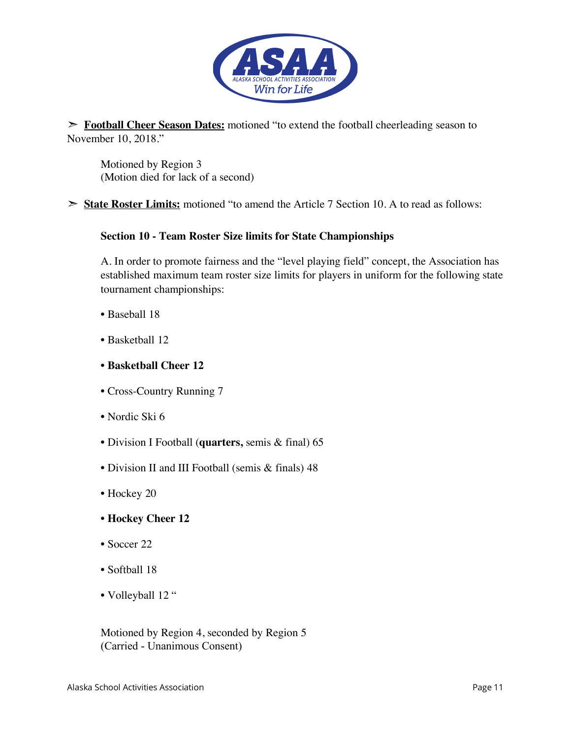

➣ **Football Cheer Season Dates:** motioned "to extend the football cheerleading season to November 10, 2018."

Motioned by Region 3 (Motion died for lack of a second)

➣ **State Roster Limits:** motioned "to amend the Article 7 Section 10. A to read as follows:

#### **Section 10 - Team Roster Size limits for State Championships**

A. In order to promote fairness and the "level playing field" concept, the Association has established maximum team roster size limits for players in uniform for the following state tournament championships:

- Baseball 18
- Basketball 12
- **Basketball Cheer 12**
- Cross-Country Running 7
- Nordic Ski 6
- Division I Football (**quarters,** semis & final) 65
- Division II and III Football (semis & finals) 48
- Hockey 20
- **Hockey Cheer 12**
- Soccer 22
- Softball 18
- Volleyball 12 "

Motioned by Region 4, seconded by Region 5 (Carried - Unanimous Consent)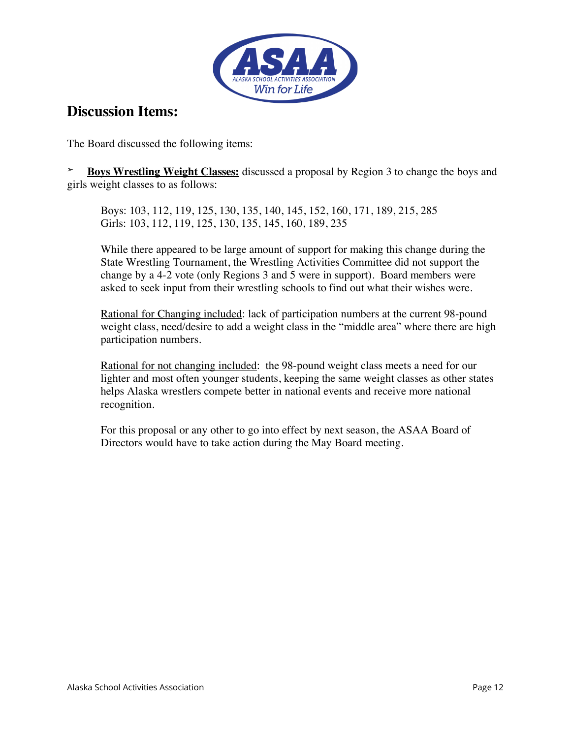

## **Discussion Items:**

The Board discussed the following items:

**➣ Boys Wrestling Weight Classes:** discussed a proposal by Region 3 to change the boys and girls weight classes to as follows:

Boys: 103, 112, 119, 125, 130, 135, 140, 145, 152, 160, 171, 189, 215, 285 Girls: 103, 112, 119, 125, 130, 135, 145, 160, 189, 235

While there appeared to be large amount of support for making this change during the State Wrestling Tournament, the Wrestling Activities Committee did not support the change by a 4-2 vote (only Regions 3 and 5 were in support). Board members were asked to seek input from their wrestling schools to find out what their wishes were.

Rational for Changing included: lack of participation numbers at the current 98-pound weight class, need/desire to add a weight class in the "middle area" where there are high participation numbers.

Rational for not changing included: the 98-pound weight class meets a need for our lighter and most often younger students, keeping the same weight classes as other states helps Alaska wrestlers compete better in national events and receive more national recognition.

For this proposal or any other to go into effect by next season, the ASAA Board of Directors would have to take action during the May Board meeting.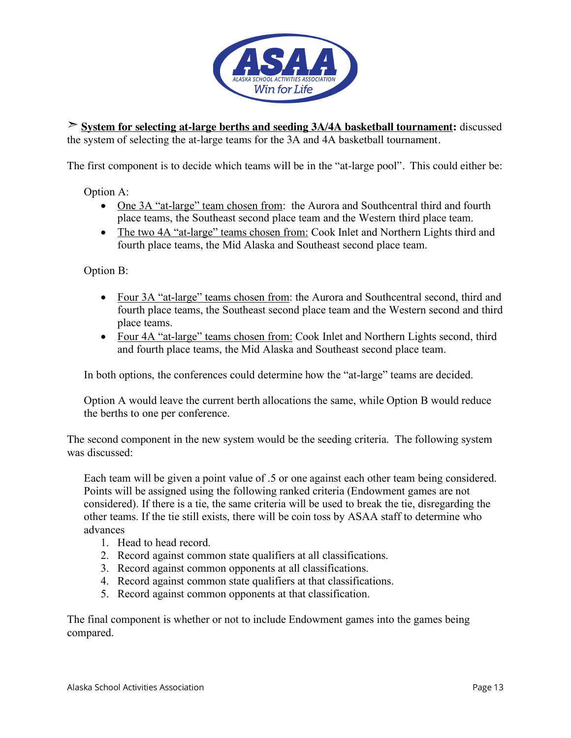

➣ **System for selecting at-large berths and seeding 3A/4A basketball tournament:** discussed the system of selecting the at-large teams for the 3A and 4A basketball tournament.

The first component is to decide which teams will be in the "at-large pool". This could either be:

Option A:

- One 3A "at-large" team chosen from: the Aurora and Southcentral third and fourth place teams, the Southeast second place team and the Western third place team.
- The two 4A "at-large" teams chosen from: Cook Inlet and Northern Lights third and fourth place teams, the Mid Alaska and Southeast second place team.

Option B:

- Four 3A "at-large" teams chosen from: the Aurora and Southcentral second, third and fourth place teams, the Southeast second place team and the Western second and third place teams.
- Four 4A "at-large" teams chosen from: Cook Inlet and Northern Lights second, third and fourth place teams, the Mid Alaska and Southeast second place team.

In both options, the conferences could determine how the "at-large" teams are decided.

Option A would leave the current berth allocations the same, while Option B would reduce the berths to one per conference.

The second component in the new system would be the seeding criteria. The following system was discussed:

Each team will be given a point value of .5 or one against each other team being considered. Points will be assigned using the following ranked criteria (Endowment games are not considered). If there is a tie, the same criteria will be used to break the tie, disregarding the other teams. If the tie still exists, there will be coin toss by ASAA staff to determine who advances

- 1. Head to head record.
- 2. Record against common state qualifiers at all classifications.
- 3. Record against common opponents at all classifications.
- 4. Record against common state qualifiers at that classifications.
- 5. Record against common opponents at that classification.

The final component is whether or not to include Endowment games into the games being compared.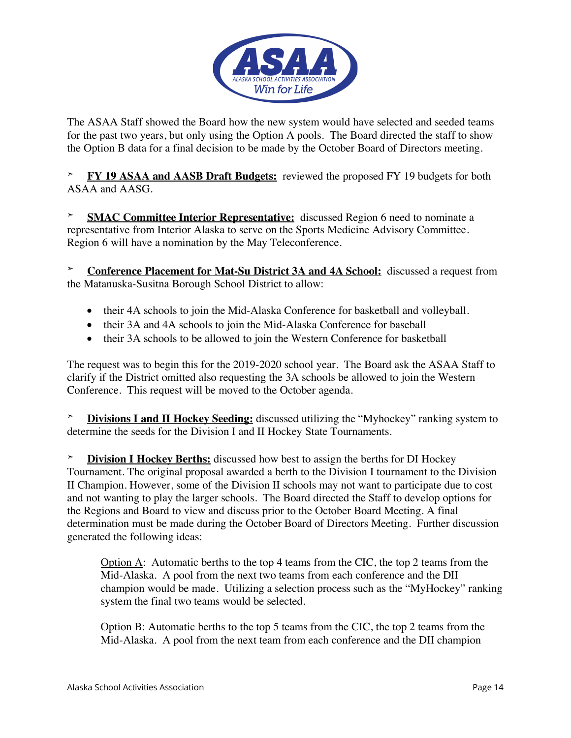

The ASAA Staff showed the Board how the new system would have selected and seeded teams for the past two years, but only using the Option A pools. The Board directed the staff to show the Option B data for a final decision to be made by the October Board of Directors meeting.

**➣ FY 19 ASAA and AASB Draft Budgets:** reviewed the proposed FY 19 budgets for both ASAA and AASG.

**➣ SMAC Committee Interior Representative:** discussed Region 6 need to nominate a representative from Interior Alaska to serve on the Sports Medicine Advisory Committee. Region 6 will have a nomination by the May Teleconference.

**Conference Placement for Mat-Su District 3A and 4A School:** discussed a request from the Matanuska-Susitna Borough School District to allow:

- their 4A schools to join the Mid-Alaska Conference for basketball and volleyball.
- their 3A and 4A schools to join the Mid-Alaska Conference for baseball
- their 3A schools to be allowed to join the Western Conference for basketball

The request was to begin this for the 2019-2020 school year. The Board ask the ASAA Staff to clarify if the District omitted also requesting the 3A schools be allowed to join the Western Conference. This request will be moved to the October agenda.

**➣ Divisions I and II Hockey Seeding:** discussed utilizing the "Myhockey" ranking system to determine the seeds for the Division I and II Hockey State Tournaments.

**➣ Division I Hockey Berths:** discussed how best to assign the berths for DI Hockey Tournament. The original proposal awarded a berth to the Division I tournament to the Division II Champion. However, some of the Division II schools may not want to participate due to cost and not wanting to play the larger schools. The Board directed the Staff to develop options for the Regions and Board to view and discuss prior to the October Board Meeting. A final determination must be made during the October Board of Directors Meeting. Further discussion generated the following ideas:

Option A: Automatic berths to the top 4 teams from the CIC, the top 2 teams from the Mid-Alaska. A pool from the next two teams from each conference and the DII champion would be made. Utilizing a selection process such as the "MyHockey" ranking system the final two teams would be selected.

Option B: Automatic berths to the top 5 teams from the CIC, the top 2 teams from the Mid-Alaska. A pool from the next team from each conference and the DII champion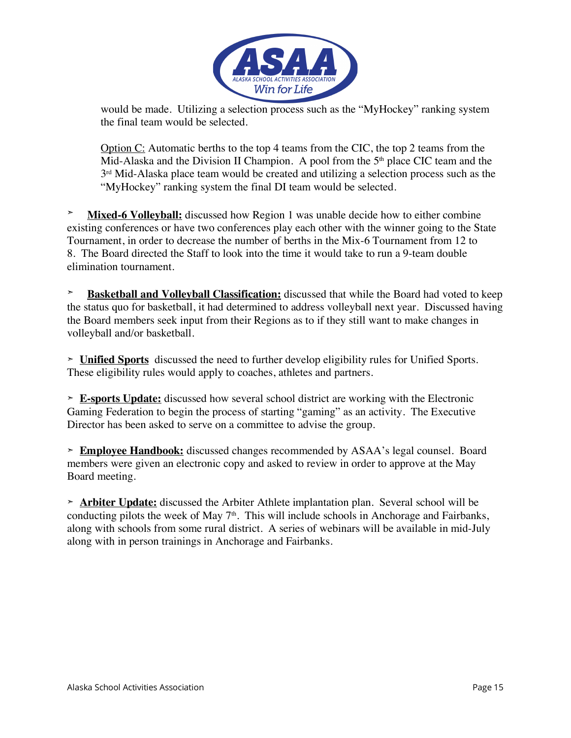

would be made. Utilizing a selection process such as the "MyHockey" ranking system the final team would be selected.

Option C: Automatic berths to the top 4 teams from the CIC, the top 2 teams from the Mid-Alaska and the Division II Champion. A pool from the  $5<sup>th</sup>$  place CIC team and the 3<sup>rd</sup> Mid-Alaska place team would be created and utilizing a selection process such as the "MyHockey" ranking system the final DI team would be selected.

**Mixed-6 Volleyball:** discussed how Region 1 was unable decide how to either combine existing conferences or have two conferences play each other with the winner going to the State Tournament, in order to decrease the number of berths in the Mix-6 Tournament from 12 to 8. The Board directed the Staff to look into the time it would take to run a 9-team double elimination tournament.

**➣ Basketball and Volleyball Classification:** discussed that while the Board had voted to keep the status quo for basketball, it had determined to address volleyball next year. Discussed having the Board members seek input from their Regions as to if they still want to make changes in volleyball and/or basketball.

**➣ Unified Sports** discussed the need to further develop eligibility rules for Unified Sports. These eligibility rules would apply to coaches, athletes and partners.

**➣ E-sports Update:** discussed how several school district are working with the Electronic Gaming Federation to begin the process of starting "gaming" as an activity. The Executive Director has been asked to serve on a committee to advise the group.

**➣ Employee Handbook:** discussed changes recommended by ASAA's legal counsel. Board members were given an electronic copy and asked to review in order to approve at the May Board meeting.

**➣ Arbiter Update:** discussed the Arbiter Athlete implantation plan. Several school will be conducting pilots the week of May  $7<sup>th</sup>$ . This will include schools in Anchorage and Fairbanks, along with schools from some rural district. A series of webinars will be available in mid-July along with in person trainings in Anchorage and Fairbanks.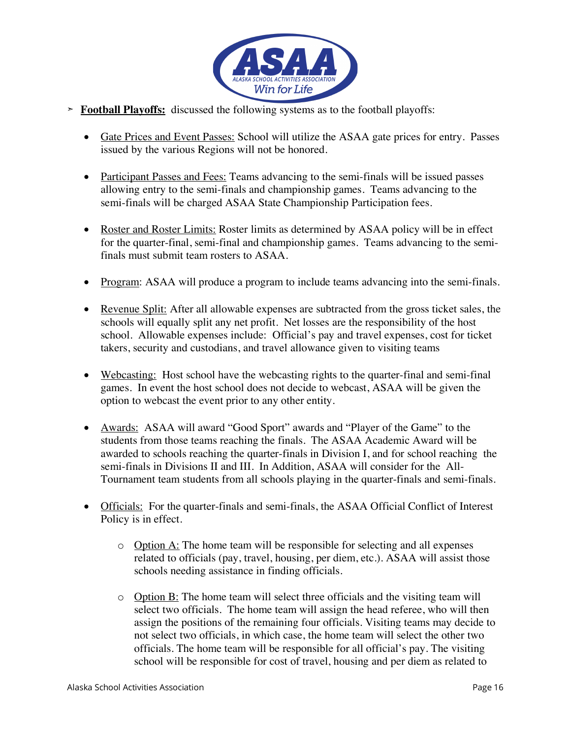

- **➣ Football Playoffs:** discussed the following systems as to the football playoffs:
	- Gate Prices and Event Passes: School will utilize the ASAA gate prices for entry. Passes issued by the various Regions will not be honored.
	- Participant Passes and Fees: Teams advancing to the semi-finals will be issued passes allowing entry to the semi-finals and championship games. Teams advancing to the semi-finals will be charged ASAA State Championship Participation fees.
	- Roster and Roster Limits: Roster limits as determined by ASAA policy will be in effect for the quarter-final, semi-final and championship games. Teams advancing to the semifinals must submit team rosters to ASAA.
	- Program: ASAA will produce a program to include teams advancing into the semi-finals.
	- Revenue Split: After all allowable expenses are subtracted from the gross ticket sales, the schools will equally split any net profit. Net losses are the responsibility of the host school. Allowable expenses include: Official's pay and travel expenses, cost for ticket takers, security and custodians, and travel allowance given to visiting teams
	- Webcasting: Host school have the webcasting rights to the quarter-final and semi-final games. In event the host school does not decide to webcast, ASAA will be given the option to webcast the event prior to any other entity.
	- Awards: ASAA will award "Good Sport" awards and "Player of the Game" to the students from those teams reaching the finals. The ASAA Academic Award will be awarded to schools reaching the quarter-finals in Division I, and for school reaching the semi-finals in Divisions II and III. In Addition, ASAA will consider for the All-Tournament team students from all schools playing in the quarter-finals and semi-finals.
	- Officials: For the quarter-finals and semi-finals, the ASAA Official Conflict of Interest Policy is in effect.
		- o Option A: The home team will be responsible for selecting and all expenses related to officials (pay, travel, housing, per diem, etc.). ASAA will assist those schools needing assistance in finding officials.
		- $\circ$  Option B: The home team will select three officials and the visiting team will select two officials. The home team will assign the head referee, who will then assign the positions of the remaining four officials. Visiting teams may decide to not select two officials, in which case, the home team will select the other two officials. The home team will be responsible for all official's pay. The visiting school will be responsible for cost of travel, housing and per diem as related to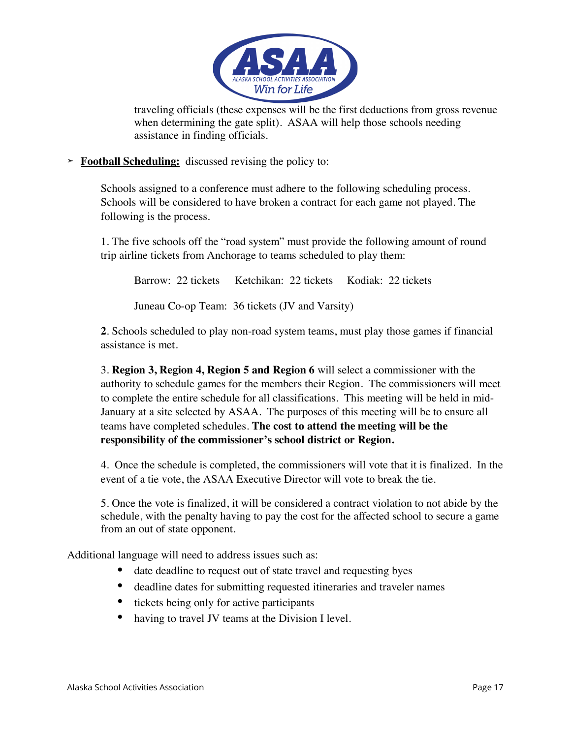

traveling officials (these expenses will be the first deductions from gross revenue when determining the gate split). ASAA will help those schools needing assistance in finding officials.

**➣ Football Scheduling:** discussed revising the policy to:

Schools assigned to a conference must adhere to the following scheduling process. Schools will be considered to have broken a contract for each game not played. The following is the process.

1. The five schools off the "road system" must provide the following amount of round trip airline tickets from Anchorage to teams scheduled to play them:

Barrow: 22 tickets Ketchikan: 22 tickets Kodiak: 22 tickets

Juneau Co-op Team: 36 tickets (JV and Varsity)

**2**. Schools scheduled to play non-road system teams, must play those games if financial assistance is met.

3. **Region 3, Region 4, Region 5 and Region 6** will select a commissioner with the authority to schedule games for the members their Region. The commissioners will meet to complete the entire schedule for all classifications. This meeting will be held in mid-January at a site selected by ASAA. The purposes of this meeting will be to ensure all teams have completed schedules. **The cost to attend the meeting will be the responsibility of the commissioner's school district or Region.**

4. Once the schedule is completed, the commissioners will vote that it is finalized. In the event of a tie vote, the ASAA Executive Director will vote to break the tie.

5. Once the vote is finalized, it will be considered a contract violation to not abide by the schedule, with the penalty having to pay the cost for the affected school to secure a game from an out of state opponent.

Additional language will need to address issues such as:

- date deadline to request out of state travel and requesting byes
- deadline dates for submitting requested itineraries and traveler names
- tickets being only for active participants
- having to travel JV teams at the Division I level.